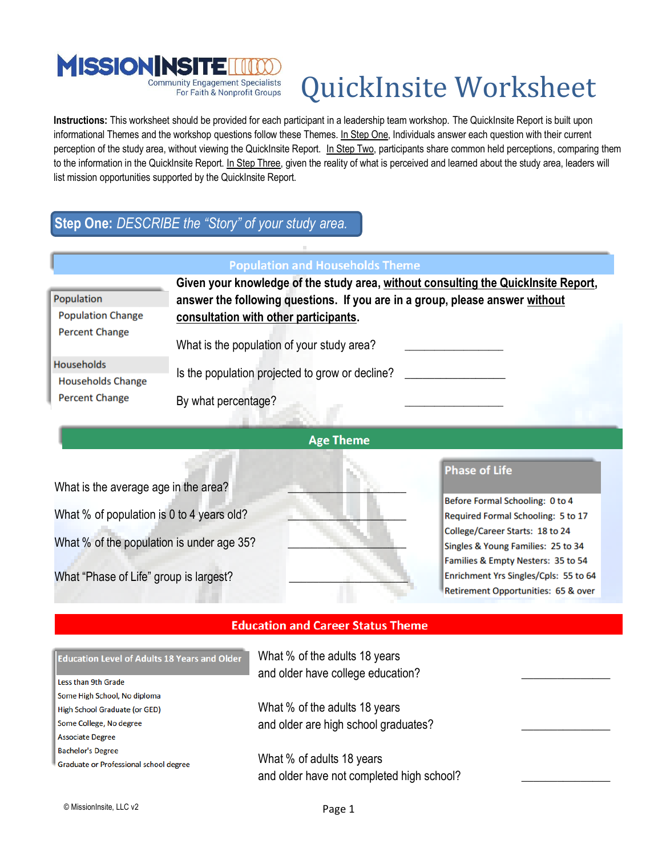

For Faith & Nonprofit Groups

# QuickInsite Worksheet

**Instructions:** This worksheet should be provided for each participant in a leadership team workshop. The QuickInsite Report is built upon informational Themes and the workshop questions follow these Themes. In Step One, Individuals answer each question with their current perception of the study area, without viewing the QuickInsite Report. In Step Two, participants share common held perceptions, comparing them to the information in the QuickInsite Report. In Step Three, given the reality of what is perceived and learned about the study area, leaders will list mission opportunities supported by the QuickInsite Report.

## **Step One:** *DESCRIBE the "Story" of your study area.*

#### **Population and Households Theme Given your knowledge of the study area, without consulting the QuickInsite Report,**  Population **answer the following questions. If you are in a group, please answer without Population Change consultation with other participants. Percent Change** What is the population of your study area? **Households** Is the population projected to grow or decline? **Households Change Percent Change** By what percentage?



What is the average age in the area? What % of population is 0 to 4 years old? What % of the population is under age 35? What "Phase of Life" group is largest?

#### **Phase of Life**

Before Formal Schooling: 0 to 4 Required Formal Schooling: 5 to 17 College/Career Starts: 18 to 24 Singles & Young Families: 25 to 34 Families & Empty Nesters: 35 to 54 Enrichment Yrs Singles/Cpls: 55 to 64 Retirement Opportunities: 65 & over

#### **Education and Career Status Theme**

| <b>Education Level of Adults 18 Years and Older</b> | What % of the adults 18 years<br>and older have college education? |
|-----------------------------------------------------|--------------------------------------------------------------------|
| Less than 9th Grade                                 |                                                                    |
| Some High School, No diploma                        |                                                                    |
| High School Graduate (or GED)                       | What % of the adults 18 years                                      |
| Some College, No degree                             | and older are high school graduates?                               |
| <b>Associate Degree</b>                             |                                                                    |
| <b>Bachelor's Degree</b>                            |                                                                    |
| Graduate or Professional school degree              | What % of adults 18 years                                          |
|                                                     | and older have not completed high school?                          |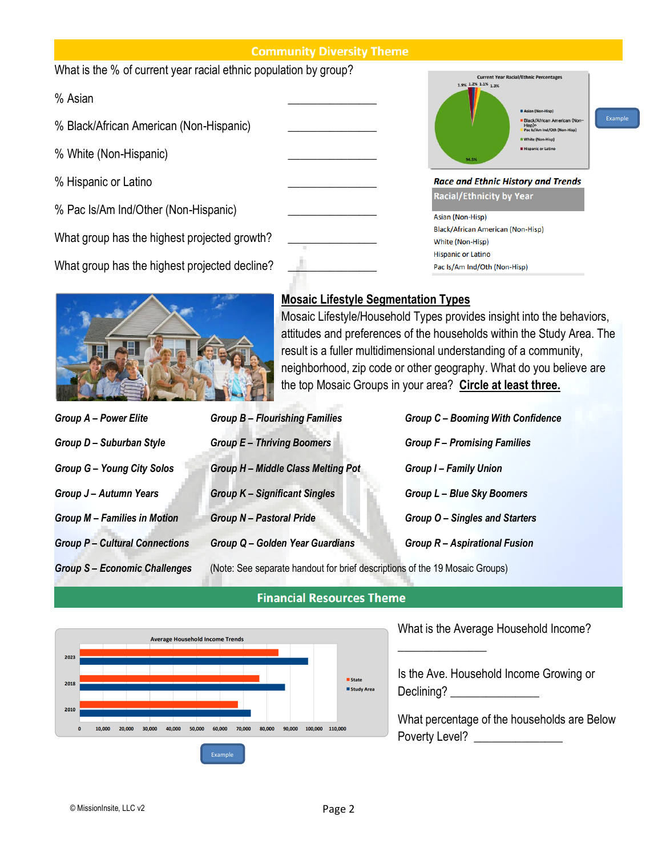#### **Community Diversity Theme**

| What is the % of current year racial ethnic population by group? |  | <b>Current Year Racial/Ethnic Percentages</b>                                                                                                                             |         |
|------------------------------------------------------------------|--|---------------------------------------------------------------------------------------------------------------------------------------------------------------------------|---------|
| % Asian                                                          |  | 1.9% 1.2% 1.1% 1.3%<br>Asian (Non-Hisp)                                                                                                                                   |         |
| % Black/African American (Non-Hispanic)                          |  | Black/African American (Non-<br>Hisp) <sup>o</sup><br>Pac Is/Am Ind/Oth (Non-Hisp)<br>White (Non-Hisp)<br><b>Hispanic or Latino</b><br>94.5%                              | Example |
| % White (Non-Hispanic)                                           |  |                                                                                                                                                                           |         |
| % Hispanic or Latino                                             |  | <b>Race and Ethnic History and Trends</b>                                                                                                                                 |         |
| % Pac Is/Am Ind/Other (Non-Hispanic)                             |  | <b>Racial/Ethnicity by Year</b><br>Asian (Non-Hisp)<br>Black/African American (Non-Hisp)<br>White (Non-Hisp)<br><b>Hispanic or Latino</b><br>Pac Is/Am Ind/Oth (Non-Hisp) |         |
| What group has the highest projected growth?                     |  |                                                                                                                                                                           |         |
| What group has the highest projected decline?                    |  |                                                                                                                                                                           |         |



## **Mosaic Lifestyle Segmentation Types**

Mosaic Lifestyle/Household Types provides insight into the behaviors, attitudes and preferences of the households within the Study Area. The result is a fuller multidimensional understanding of a community, neighborhood, zip code or other geography. What do you believe are the top Mosaic Groups in your area? **Circle at least three.**

| <b>Group A - Power Elite</b>         | <b>Group B - Flourishing Families</b>                                       | <b>Group C - Booming With Confidence</b> |
|--------------------------------------|-----------------------------------------------------------------------------|------------------------------------------|
| Group D - Suburban Style             | <b>Group E-Thriving Boomers</b>                                             | <b>Group F-Promising Families</b>        |
| <b>Group G - Young City Solos</b>    | Group H - Middle Class Melting Pot                                          | <b>Group I-Family Union</b>              |
| Group J - Autumn Years               | <b>Group K - Significant Singles</b>                                        | <b>Group L-Blue Sky Boomers</b>          |
| <b>Group M - Families in Motion</b>  | <b>Group N-Pastoral Pride</b>                                               | Group O - Singles and Starters           |
| <b>Group P- Cultural Connections</b> | Group Q - Golden Year Guardians                                             | Group R - Aspirational Fusion            |
| <b>Group S-Economic Challenges</b>   | (Note: See separate handout for brief descriptions of the 19 Mosaic Groups) |                                          |



## **Financial Resources Theme**

What is the Average Household Income?

 $\overline{\phantom{a}}$ 

Is the Ave. Household Income Growing or Declining? \_\_\_\_\_\_\_\_\_\_\_\_\_\_\_

What percentage of the households are Below Poverty Level? \_\_\_\_\_\_\_\_\_\_\_\_\_\_\_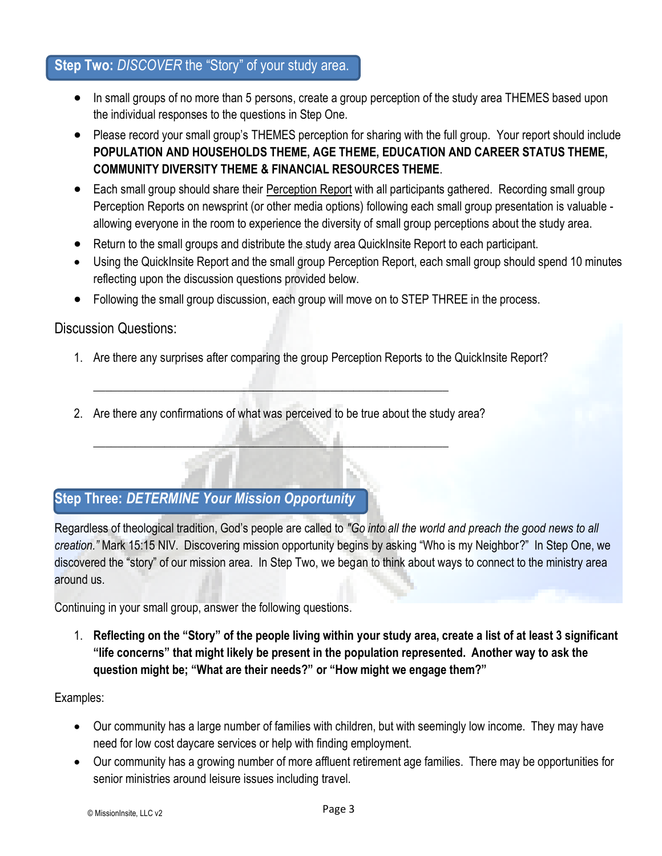## **Step Two:** *DISCOVER* the "Story" of your study area.

- In small groups of no more than 5 persons, create a group perception of the study area THEMES based upon the individual responses to the questions in Step One.
- Please record your small group's THEMES perception for sharing with the full group. Your report should include **POPULATION AND HOUSEHOLDS THEME, AGE THEME, EDUCATION AND CAREER STATUS THEME, COMMUNITY DIVERSITY THEME & FINANCIAL RESOURCES THEME**.
- Each small group should share their Perception Report with all participants gathered. Recording small group Perception Reports on newsprint (or other media options) following each small group presentation is valuable allowing everyone in the room to experience the diversity of small group perceptions about the study area.
- Return to the small groups and distribute the study area QuickInsite Report to each participant.
- Using the QuickInsite Report and the small group Perception Report, each small group should spend 10 minutes reflecting upon the discussion questions provided below.
- Following the small group discussion, each group will move on to STEP THREE in the process.

### Discussion Questions:

- 1. Are there any surprises after comparing the group Perception Reports to the QuickInsite Report?
- 2. Are there any confirmations of what was perceived to be true about the study area?

\_\_\_\_\_\_\_\_\_\_\_\_\_\_\_\_\_\_\_\_\_\_\_\_\_\_\_\_\_\_\_\_\_\_\_\_\_\_\_\_\_\_\_\_\_\_\_\_\_\_\_\_\_\_\_\_\_\_\_\_

\_\_\_\_\_\_\_\_\_\_\_\_\_\_\_\_\_\_\_\_\_\_\_\_\_\_\_\_\_\_\_\_\_\_\_\_\_\_\_\_\_\_\_\_\_\_\_\_\_\_\_\_\_\_\_\_\_\_\_\_

## **Step Three:** *DETERMINE Your Mission Opportunity*

Regardless of theological tradition, God's people are called to *"Go into all the world and preach the good news to all creation."* Mark 15:15 NIV. Discovering mission opportunity begins by asking "Who is my Neighbor?" In Step One, we discovered the "story" of our mission area. In Step Two, we began to think about ways to connect to the ministry area around us.

Continuing in your small group, answer the following questions.

1. **Reflecting on the "Story" of the people living within your study area, create a list of at least 3 significant "life concerns" that might likely be present in the population represented. Another way to ask the question might be; "What are their needs?" or "How might we engage them?"**

#### Examples:

- Our community has a large number of families with children, but with seemingly low income. They may have need for low cost daycare services or help with finding employment.
- Our community has a growing number of more affluent retirement age families. There may be opportunities for senior ministries around leisure issues including travel.